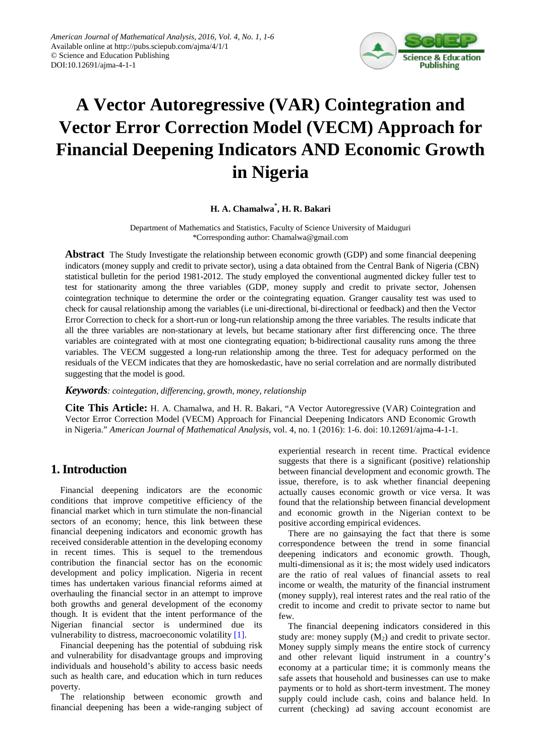

# **A Vector Autoregressive (VAR) Cointegration and Vector Error Correction Model (VECM) Approach for Financial Deepening Indicators AND Economic Growth in Nigeria**

## **H. A. Chamalwa\* , H. R. Bakari**

Department of Mathematics and Statistics, Faculty of Science University of Maiduguri \*Corresponding author: Chamalwa@gmail.com

**Abstract** The Study Investigate the relationship between economic growth (GDP) and some financial deepening indicators (money supply and credit to private sector), using a data obtained from the Central Bank of Nigeria (CBN) statistical bulletin for the period 1981-2012. The study employed the conventional augmented dickey fuller test to test for stationarity among the three variables (GDP, money supply and credit to private sector, Johensen cointegration technique to determine the order or the cointegrating equation. Granger causality test was used to check for causal relationship among the variables (i.e uni-directional, bi-directional or feedback) and then the Vector Error Correction to check for a short-run or long-run relationship among the three variables. The results indicate that all the three variables are non-stationary at levels, but became stationary after first differencing once. The three variables are cointegrated with at most one ciontegrating equation; b-bidirectional causality runs among the three variables. The VECM suggested a long-run relationship among the three. Test for adequacy performed on the residuals of the VECM indicates that they are homoskedastic, have no serial correlation and are normally distributed suggesting that the model is good.

*Keywords: cointegation, differencing, growth, money, relationship*

**Cite This Article:** H. A. Chamalwa, and H. R. Bakari, "A Vector Autoregressive (VAR) Cointegration and Vector Error Correction Model (VECM) Approach for Financial Deepening Indicators AND Economic Growth in Nigeria." *American Journal of Mathematical Analysis*, vol. 4, no. 1 (2016): 1-6. doi: 10.12691/ajma-4-1-1.

## **1. Introduction**

Financial deepening indicators are the economic conditions that improve competitive efficiency of the financial market which in turn stimulate the non-financial sectors of an economy; hence, this link between these financial deepening indicators and economic growth has received considerable attention in the developing economy in recent times. This is sequel to the tremendous contribution the financial sector has on the economic development and policy implication. Nigeria in recent times has undertaken various financial reforms aimed at overhauling the financial sector in an attempt to improve both growths and general development of the economy though. It is evident that the intent performance of the Nigerian financial sector is undermined due its vulnerability to distress, macroeconomic volatilit[y \[1\].](#page-5-0)

Financial deepening has the potential of subduing risk and vulnerability for disadvantage groups and improving individuals and household's ability to access basic needs such as health care, and education which in turn reduces poverty.

The relationship between economic growth and financial deepening has been a wide-ranging subject of experiential research in recent time. Practical evidence suggests that there is a significant (positive) relationship between financial development and economic growth. The issue, therefore, is to ask whether financial deepening actually causes economic growth or vice versa. It was found that the relationship between financial development and economic growth in the Nigerian context to be positive according empirical evidences.

There are no gainsaying the fact that there is some correspondence between the trend in some financial deepening indicators and economic growth. Though, multi-dimensional as it is; the most widely used indicators are the ratio of real values of financial assets to real income or wealth, the maturity of the financial instrument (money supply), real interest rates and the real ratio of the credit to income and credit to private sector to name but few.

The financial deepening indicators considered in this study are: money supply  $(M_2)$  and credit to private sector. Money supply simply means the entire stock of currency and other relevant liquid instrument in a country's economy at a particular time; it is commonly means the safe assets that household and businesses can use to make payments or to hold as short-term investment. The money supply could include cash, coins and balance held. In current (checking) ad saving account economist are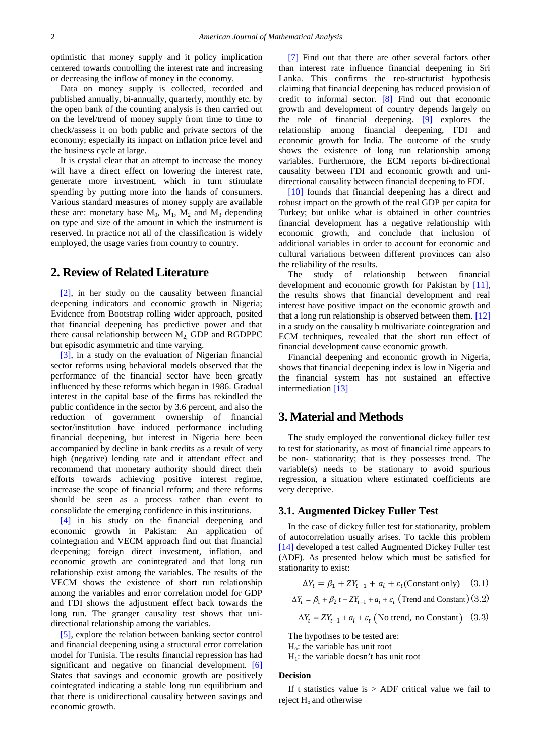optimistic that money supply and it policy implication centered towards controlling the interest rate and increasing or decreasing the inflow of money in the economy.

Data on money supply is collected, recorded and published annually, bi-annually, quarterly, monthly etc. by the open bank of the counting analysis is then carried out on the level/trend of money supply from time to time to check/assess it on both public and private sectors of the economy; especially its impact on inflation price level and the business cycle at large.

It is crystal clear that an attempt to increase the money will have a direct effect on lowering the interest rate, generate more investment, which in turn stimulate spending by putting more into the hands of consumers. Various standard measures of money supply are available these are: monetary base  $M_0$ ,  $M_1$ ,  $M_2$  and  $M_3$  depending on type and size of the amount in which the instrument is reserved. In practice not all of the classification is widely employed, the usage varies from country to country.

## **2. Review of Related Literature**

[\[2\],](#page-5-1) in her study on the causality between financial deepening indicators and economic growth in Nigeria; Evidence from Bootstrap rolling wider approach, posited that financial deepening has predictive power and that there causal relationship between  $M<sub>2</sub>$  GDP and RGDPPC but episodic asymmetric and time varying.

[\[3\],](#page-5-2) in a study on the evaluation of Nigerian financial sector reforms using behavioral models observed that the performance of the financial sector have been greatly influenced by these reforms which began in 1986. Gradual interest in the capital base of the firms has rekindled the public confidence in the sector by 3.6 percent, and also the reduction of government ownership of financial sector/institution have induced performance including financial deepening, but interest in Nigeria here been accompanied by decline in bank credits as a result of very high (negative) lending rate and it attendant effect and recommend that monetary authority should direct their efforts towards achieving positive interest regime, increase the scope of financial reform; and there reforms should be seen as a process rather than event to consolidate the emerging confidence in this institutions.

[\[4\]](#page-5-3) in his study on the financial deepening and economic growth in Pakistan: An application of cointegration and VECM approach find out that financial deepening; foreign direct investment, inflation, and economic growth are conintegrated and that long run relationship exist among the variables. The results of the VECM shows the existence of short run relationship among the variables and error correlation model for GDP and FDI shows the adjustment effect back towards the long run. The granger causality test shows that unidirectional relationship among the variables.

[\[5\],](#page-5-4) explore the relation between banking sector control and financial deepening using a structural error correlation model for Tunisia. The results financial repression has had significant and negative on financial development. [\[6\]](#page-5-5) States that savings and economic growth are positively cointegrated indicating a stable long run equilibrium and that there is unidirectional causality between savings and economic growth.

[\[7\]](#page-5-6) Find out that there are other several factors other than interest rate influence financial deepening in Sri Lanka. This confirms the reo-structurist hypothesis claiming that financial deepening has reduced provision of credit to informal sector. [\[8\]](#page-5-7) Find out that economic growth and development of country depends largely on the role of financial deepening. [\[9\]](#page-5-8) explores the relationship among financial deepening, FDI and economic growth for India. The outcome of the study shows the existence of long run relationship among variables. Furthermore, the ECM reports bi-directional causality between FDI and economic growth and unidirectional causality between financial deepening to FDI.

[\[10\]](#page-5-9) founds that financial deepening has a direct and robust impact on the growth of the real GDP per capita for Turkey; but unlike what is obtained in other countries financial development has a negative relationship with economic growth, and conclude that inclusion of additional variables in order to account for economic and cultural variations between different provinces can also the reliability of the results.

The study of relationship between financial development and economic growth for Pakistan by [\[11\],](#page-5-10) the results shows that financial development and real interest have positive impact on the economic growth and that a long run relationship is observed between them. [\[12\]](#page-5-11) in a study on the causality b multivariate cointegration and ECM techniques, revealed that the short run effect of financial development cause economic growth.

Financial deepening and economic growth in Nigeria, shows that financial deepening index is low in Nigeria and the financial system has not sustained an effective intermediation [\[13\]](#page-5-12)

## **3. Material and Methods**

The study employed the conventional dickey fuller test to test for stationarity, as most of financial time appears to be non- stationarity; that is they possesses trend. The variable(s) needs to be stationary to avoid spurious regression, a situation where estimated coefficients are very deceptive.

#### **3.1. Augmented Dickey Fuller Test**

In the case of dickey fuller test for stationarity, problem of autocorrelation usually arises. To tackle this problem [\[14\]](#page-5-13) developed a test called Augmented Dickey Fuller test (ADF). As presented below which must be satisfied for stationarity to exist:

$$
\Delta Y_t = \beta_1 + ZY_{t-1} + a_i + \varepsilon_t \text{(Constant only)} \quad (3.1)
$$

$$
\Delta Y_t = \beta_1 + \beta_2 t + ZY_{t-1} + a_i + \varepsilon_t \text{ (Trend and Constant)} (3.2)
$$

$$
\Delta Y_t = ZY_{t-1} + a_t + \varepsilon_t \text{ (No trend, no Constant)} \quad (3.3)
$$

The hypothses to be tested are:

Ho: the variable has unit root

 $H<sub>1</sub>$ : the variable doesn't has unit root

#### **Decision**

If t statistics value is  $>$  ADF critical value we fail to reject  $H_0$  and otherwise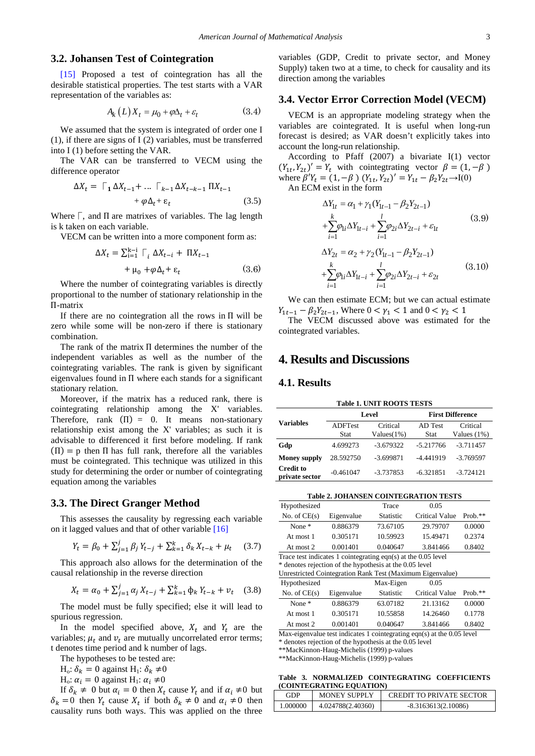#### **3.2. Johansen Test of Cointegration**

[\[15\]](#page-5-14) Proposed a test of cointegration has all the desirable statistical properties. The test starts with a VAR representation of the variables as:

$$
A_k(L)X_t = \mu_0 + \varphi \Delta_t + \varepsilon_t \tag{3.4}
$$

We assumed that the system is integrated of order one I (1), if there are signs of I (2) variables, must be transferred into I (1) before setting the VAR.

The VAR can be transferred to VECM using the difference operator

$$
\Delta X_t = \Gamma_1 \Delta X_{t-1} + \dots \Gamma_{k-1} \Delta X_{t-k-1} \Pi X_{t-1}
$$

$$
+ \varphi \Delta_t + \varepsilon_t \qquad (3.5)
$$

Where  $\Gamma$ , and  $\Pi$  are matrixes of variables. The lag length is k taken on each variable.

VECM can be written into a more component form as:

$$
\Delta X_t = \sum_{i=1}^{k-1} \Gamma_i \Delta X_{t-i} + \Pi X_{t-1}
$$
  
+  $\mu_0 + \varphi \Delta_t + \varepsilon_t$  (3.6)

Where the number of cointegrating variables is directly proportional to the number of stationary relationship in the П-matrix

If there are no cointegration all the rows in  $\Pi$  will be zero while some will be non-zero if there is stationary combination.

The rank of the matrix П determines the number of the independent variables as well as the number of the cointegrating variables. The rank is given by significant eigenvalues found in П where each stands for a significant stationary relation.

Moreover, if the matrix has a reduced rank, there is cointegrating relationship among the X' variables. Therefore, rank  $(\Pi) = 0$ . It means non-stationary relationship exist among the X' variables; as such it is advisable to differenced it first before modeling. If rank  $(\Pi) = p$  then  $\Pi$  has full rank, therefore all the variables must be cointegrated. This technique was utilized in this study for determining the order or number of cointegrating equation among the variables

#### **3.3. The Direct Granger Method**

This assesses the causality by regressing each variable on it lagged values and that of other variable [\[16\]](#page-5-15)

$$
Y_t = \beta_0 + \sum_{j=1}^{J} \beta_j Y_{t-j} + \sum_{k=1}^{K} \delta_k X_{t-k} + \mu_t \quad (3.7)
$$

This approach also allows for the determination of the causal relationship in the reverse direction

$$
X_t = \alpha_0 + \sum_{j=1}^J \alpha_j X_{t-j} + \sum_{k=1}^k \phi_k Y_{t-k} + v_t \quad (3.8)
$$

The model must be fully specified; else it will lead to spurious regression.

In the model specified above,  $X_t$  and  $Y_t$  are the variables;  $\mu_t$  and  $\nu_t$  are mutually uncorrelated error terms; t denotes time period and k number of lags.

The hypotheses to be tested are:

 $H_0$ :  $\delta_k = 0$  against  $H_1$ :  $\delta_k \neq 0$ 

H<sub>o</sub>:  $\alpha_i = 0$  against H<sub>1</sub>:  $\alpha_i \neq 0$ 

If  $\delta_k \neq 0$  but  $\alpha_i = 0$  then  $X_t$  cause  $Y_t$  and if  $\alpha_i \neq 0$  but  $\delta_k = 0$  then  $Y_t$  cause  $X_t$  if both  $\delta_k \neq 0$  and  $\alpha_i \neq 0$  then causality runs both ways. This was applied on the three

variables (GDP, Credit to private sector, and Money Supply) taken two at a time, to check for causality and its direction among the variables

#### **3.4. Vector Error Correction Model (VECM)**

VECM is an appropriate modeling strategy when the variables are cointegrated. It is useful when long-run forecast is desired; as VAR doesn't explicitly takes into account the long-run relationship.

According to Pfaff (2007) a bivariate I(1) vector  $(Y_{1t}, Y_{2t})' = Y_t$  with cointegtrating vector  $\beta = (1, -\beta)$ where  $\beta' Y_t = (1, -\beta) (Y_{1t}, Y_{2t})' = Y_{1t} - \beta_2 Y_{2t} \rightarrow I(0)$ An ECM exist in the form

> $\Delta Y_{1t} = \alpha_1 + \gamma_1 (Y_{1t-1} - \beta_2 Y_{2t-1})$  $\mathcal{Y}_{1i}\Delta \mathcal{I}_{1t-i} + \sum \varphi_{2i}\Delta \mathcal{I}_{2t-i} + \varepsilon_1$  $i=1$   $i=1$ *k l*  $i^{\Delta I}$ <sub>1t</sub> +  $\sum$ P<sub>2i</sub> $\Delta$ <sup>1</sup><sub>2t</sub> +  $\epsilon$ <sub>1t</sub> *i i*  $\sum \varphi_{1i} \Delta Y_{1t-i} + \sum \varphi_{2i} \Delta Y_{2t-i} + \varepsilon$  $i = 1$   $i =$ +  $\sum_{i=1}^{k} \varphi_{1i} \Delta Y_{1t-i} + \sum_{i=1}^{l} \varphi_{2i} \Delta Y_{2t-i} + \varepsilon_{1t}$  (3.9)  $\Delta Y_{2t} = \alpha_2 + \gamma_2 (Y_{1t-1} - \beta_2 Y_{2t-1})$  $\mathcal{Y}_{1i}\Delta \mathcal{I}_{1t-i} + \sum \varphi_{2i}\Delta \mathcal{I}_{2t-i} + \varepsilon_2$  $i=1$   $i=1$ *k l*  $i\Delta I_{1t-i}$  +  $\sum \varphi_{2i} \Delta I_{2t-i}$  +  $\varepsilon_{2t}$ *i i*  $\sum \varphi_{1i} \Delta Y_{1t-i} + \sum \varphi_{2i} \Delta Y_{2t-i} + \varepsilon$  $i = 1$   $i =$  $+\sum_{i=1}^{k} \varphi_{1i} \Delta Y_{1t-i} + \sum_{i=1}^{l} \varphi_{2i} \Delta Y_{2t-i} + \varepsilon_{2t}$  (3.10)

We can then estimate ECM; but we can actual estimate  $Y_{1t-1} - \beta_2 Y_{2t-1}$ , Where  $0 < \gamma_1 < 1$  and  $0 < \gamma_2 < 1$ 

The VECM discussed above was estimated for the cointegrated variables.

## **4. Results and Discussions**

#### **4.1. Results**

<span id="page-2-0"></span>

|                                    | <b>Table 1. UNIT ROOTS TESTS</b> |                           |                         |                           |  |  |  |
|------------------------------------|----------------------------------|---------------------------|-------------------------|---------------------------|--|--|--|
|                                    | Level                            |                           | <b>First Difference</b> |                           |  |  |  |
| <b>Variables</b>                   | <b>ADFTest</b><br>Stat           | Critical<br>$Values(1\%)$ | AD Test<br>Stat         | Critical<br>Values $(1%)$ |  |  |  |
| Gdp                                | 4.699273                         | $-3.679322$               | $-5.217766$             | $-3.711457$               |  |  |  |
| <b>Money supply</b>                | 28.592750                        | $-3.699871$               | $-4.441919$             | $-3.769597$               |  |  |  |
| <b>Credit to</b><br>private sector | $-0.461047$                      | $-3.737853$               | $-6.321851$             | $-3.724121$               |  |  |  |

<span id="page-2-1"></span>

| <b>Table 2. JOHANSEN COINTEGRATION TESTS</b> |                                                                 |                  |                |           |  |  |  |  |
|----------------------------------------------|-----------------------------------------------------------------|------------------|----------------|-----------|--|--|--|--|
| Hypothesized                                 |                                                                 | Trace            | 0.05           |           |  |  |  |  |
| No. of $CE(s)$                               | Eigenvalue                                                      | <b>Statistic</b> | Critical Value | $Prob.**$ |  |  |  |  |
| None $*$                                     | 0.886379                                                        | 73.67105         | 29.79707       | 0.0000    |  |  |  |  |
| At most 1                                    | 0.305171                                                        | 10.59923         | 15.49471       | 0.2374    |  |  |  |  |
| At most 2                                    | 0.001401                                                        | 0.040647         | 3.841466       | 0.8402    |  |  |  |  |
|                                              | Trace test indicates 1 cointegrating eqn(s) at the $0.05$ level |                  |                |           |  |  |  |  |

\* denotes rejection of the hypothesis at the 0.05 level

 $U$ nrestricted Cointegration Rank Test (Maximum Eigenvalue)

|                | Unicorrected Commegration Rank Test (Triaxmittin Ergenvalue) |                  |                        |        |  |  |  |
|----------------|--------------------------------------------------------------|------------------|------------------------|--------|--|--|--|
| Hypothesized   |                                                              | Max-Eigen        | 0.05                   |        |  |  |  |
| No. of $CE(s)$ | Eigenvalue                                                   | <b>Statistic</b> | Critical Value Prob.** |        |  |  |  |
| None $*$       | 0.886379                                                     | 63.07182         | 21.13162               | 0.0000 |  |  |  |

At most 1 0.305171 10.55858 14.26460 0.1778 At most 2 0.001401 0.040647 3.841466 0.8402

Max-eigenvalue test indicates 1 cointegrating eqn(s) at the 0.05 level

\* denotes rejection of the hypothesis at the 0.05 level

\*\*MacKinnon-Haug-Michelis (1999) p-values

\*\*MacKinnon-Haug-Michelis (1999) p-values

**Table 3. NORMALIZED COINTEGRATING COEFFICIENTS (COINTEGRATING EQUATION)**

<span id="page-2-2"></span>

| (COINTEGRATING EQUATION) |                     |                                 |  |  |  |  |
|--------------------------|---------------------|---------------------------------|--|--|--|--|
| GDP                      | <b>MONEY SUPPLY</b> | <b>CREDIT TO PRIVATE SECTOR</b> |  |  |  |  |
| 1.000000                 | 4.024788(2.40360)   | $-8.3163613(2.10086)$           |  |  |  |  |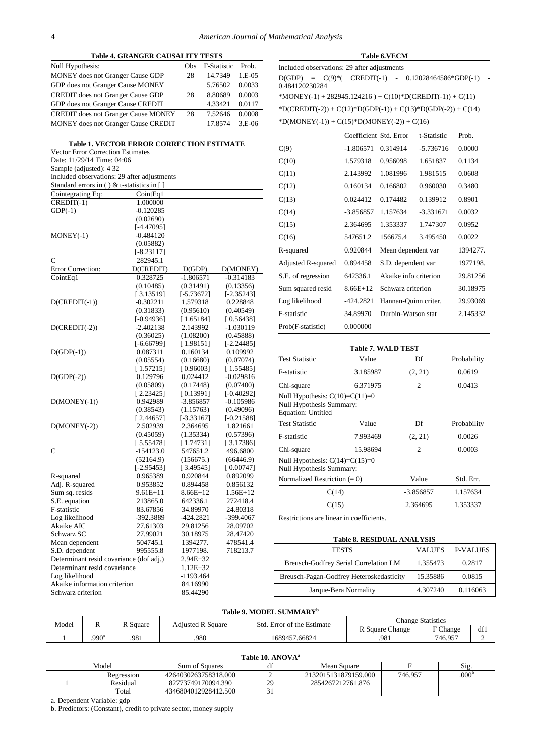<span id="page-3-1"></span> $MONEY(-1)$ 

 $D(MONEY(-1))$ 

 $D(MONEY(-2))$ 

Adj. R-squared

Mean dependent

Determinant resid covariance

Akaike information criterion

F-statistic

 $C \qquad \qquad 282945.1$ 

<span id="page-3-0"></span>

|                                                                                                                                                                                                                                                                       | <b>Table 4. GRANGER CAUSALITY TESTS</b> |     |                    |           |
|-----------------------------------------------------------------------------------------------------------------------------------------------------------------------------------------------------------------------------------------------------------------------|-----------------------------------------|-----|--------------------|-----------|
| Null Hypothesis:                                                                                                                                                                                                                                                      |                                         | Obs | <b>F-Statistic</b> | Prob.     |
| <b>MONEY</b> does not Granger Cause GDP                                                                                                                                                                                                                               |                                         | 28  | 14.7349            | $1.E-0.5$ |
| GDP does not Granger Cause MONEY                                                                                                                                                                                                                                      |                                         |     | 5.76502            | 0.0033    |
| <b>CREDIT</b> does not Granger Cause GDP                                                                                                                                                                                                                              |                                         | 28  | 8.80689            | 0.0003    |
| GDP does not Granger Cause CREDIT                                                                                                                                                                                                                                     |                                         |     | 4.33421            | 0.0117    |
| <b>CREDIT</b> does not Granger Cause MONEY                                                                                                                                                                                                                            |                                         | 28  | 7.52646            | 0.0008    |
| <b>MONEY</b> does not Granger Cause CREDIT                                                                                                                                                                                                                            |                                         |     | 17.8574            | $3.E-06$  |
| <b>Table 1. VECTOR ERROR CORRECTION ESTIMATE</b><br><b>Vector Error Correction Estimates</b><br>Date: 11/29/14 Time: 04:06<br>Sample (adjusted): 4 32<br>Included observations: 29 after adjustments<br>Standard errors in () & t-statistics in $\lceil \cdot \rceil$ |                                         |     |                    |           |
| Cointegrating Eq:                                                                                                                                                                                                                                                     | CointEq1                                |     |                    |           |
| $CREDIT(-1)$<br>$GDP(-1)$                                                                                                                                                                                                                                             | 1.000000<br>$-0.120285$                 |     |                    |           |
|                                                                                                                                                                                                                                                                       | (0.02690)<br>[-4.47095]                 |     |                    |           |
| $MONEY(-1)$                                                                                                                                                                                                                                                           | $-0.484120$                             |     |                    |           |

(0.05882) [-8.23117]

Error Correction: D(CREDIT) D(GDP) D(MONEY) CointEq1 0.328725 -1.806571 -0.314183

D(CREDIT(-1))  $-0.302211$  1.579318 0.228848<br>(0.31833) (0.95610) (0.40549)

D(CREDIT(-2)) -2.402138 2.143992 -1.030119<br>(0.36025) (1.08200) -0.45888)

 $D(GDP(-1))$  0.087311 0.160134 0.109992<br>
(0.05554) (0.16680) (0.07074)

D(GDP(-2)) 0.129796 0.024412 -0.029816

C  $-154123.0$   $547651.2$   $496.6800$ <br> $(52164.9)$   $(156675)$   $(66446.9)$ 

R-squared 0.965389 0.920844 0.892099<br>Adi. R-squared 0.953852 0.894458 0.856132

Sum sq. resids  $9.61E+11$   $8.66E+12$   $1.56E+12$ <br>S.E. equation  $213865.0$   $642336.1$   $272418.4$ S.E. equation 213865.0 642336.1 272418.4<br>
F-statistic 83.67856 34.89970 24.80318

Log likelihood -392.3889 -424.2821 -399.4067<br>Akaike AIC 27.61303 29.81256 28.09702 Akaike AIC 27.61303 29.81256 28.09702<br>Schwarz SC 27.99021 30.18975 28.47420 Schwarz SC 27.99021 30.18975 28.47420<br>Mean dependent 504745.1 1394277. 478541.4

S.D. dependent 995555.8 1977198. 718213.7

Determinant resid covariance (dof adj.) 2.94E+32<br>Determinant resid covariance 1.12E+32

Log likelihood 1193.464<br>Akaike information criterion 84.16990

Schwarz criterion 85.44290

 $(0.05554)$   $(0.16680)$ <br>  $\begin{bmatrix} 1.57215 \end{bmatrix}$   $\begin{bmatrix} 0.96003 \end{bmatrix}$ 

(0.10485) (0.31491) (0.13356)<br>[3.13519] [-5.73672] [-2.35243] [ 3.13519] [-5.73672] [-2.35243]

 $(0.95610)$ [-0.94936] [ 1.65184] [ 0.56438]<br>-2.402138 2.143992 -1.030119

 $(1.08200)$ <br>[1.98151] [-6.66799] [ 1.98151] [-2.24485]

 $\begin{bmatrix} 1.57215 \end{bmatrix}$   $\begin{bmatrix} 0.96003 \end{bmatrix}$   $\begin{bmatrix} 1.55485 \end{bmatrix}$ <br>  $\begin{bmatrix} 0.129796 & 0.024412 & -0.029816 \end{bmatrix}$ 

 $(0.05809)$   $(0.17448)$   $(0.07400)$ <br>[2.23425] [0.13991] [-0.40292] [ 2.23425] [ 0.13991] [ -0.40292]<br>0.942989 -3.856857 -0.105986

(0.38543) (1.15763) (0.49096)<br>[2.44657] [-3.33167] [-0.21588]  $\begin{bmatrix} 2.44657 \end{bmatrix}$   $\begin{bmatrix} -3.33167 \end{bmatrix}$   $\begin{bmatrix} -0.21588 \end{bmatrix}$ <br>2.502939 2.364695 1.821661

(0.45059) (1.35334) (0.57396) [ 5.55478] [ 1.74731] [ 3.17386]

 $(156675.)$  [3.49545] [-2.95453] [ 3.49545] [ 0.00747]<br>0.965389 0.920844 0.892099

#### **Table 6.VECM**

<span id="page-3-2"></span>Included observations: 29 after adjustments  $D(GDP) = C(9)^{*}$  (  $CREDIT(-1) - 0.12028464586*GDP(-1) -$ 0.484120230284

\*MONEY(-1) + 282945.124216 ) + C(10)\*D(CREDIT(-1)) + C(11)

\*D(CREDIT(-2)) + C(12)\*D(GDP(-1)) + C(13)\*D(GDP(-2)) + C(14)

 $*D(MONEY(-1)) + C(15)*D(MONEY(-2)) + C(16)$ 

|                    | Coefficient Std. Error |                       | t-Statistic | Prob.    |
|--------------------|------------------------|-----------------------|-------------|----------|
| C(9)               | $-1.806571$            | 0.314914              | -5.736716   | 0.0000   |
| C(10)              | 1.579318               | 0.956098              | 1.651837    | 0.1134   |
| C(11)              | 2.143992               | 1.081996              | 1.981515    | 0.0608   |
| C(12)              | 0.160134               | 0.166802              | 0.960030    | 0.3480   |
| C(13)              | 0.024412               | 0.174482              | 0.139912    | 0.8901   |
| C(14)              | -3.856857              | 1.157634              | $-3.331671$ | 0.0032   |
| C(15)              | 2.364695               | 1.353337              | 1.747307    | 0.0952   |
| C(16)              | 547651.2               | 156675.4              | 3.495450    | 0.0022   |
| R-squared          | 0.920844               | Mean dependent var    |             | 1394277. |
| Adjusted R-squared | 0.894458               | S.D. dependent var    |             | 1977198. |
| S.E. of regression | 642336.1               | Akaike info criterion |             | 29.81256 |
| Sum squared resid  | $8.66E+12$             | Schwarz criterion     |             | 30.18975 |
| Log likelihood     | -424.2821              | Hannan-Quinn criter.  |             | 29.93069 |
| F-statistic        | 34.89970               | Durbin-Watson stat    |             | 2.145332 |
| Prob(F-statistic)  | 0.000000               |                       |             |          |

<span id="page-3-3"></span>

|                                                                                           | <b>Table 7. WALD TEST</b> |             |             |  |  |  |  |  |
|-------------------------------------------------------------------------------------------|---------------------------|-------------|-------------|--|--|--|--|--|
| <b>Test Statistic</b>                                                                     | Value                     | Df          | Probability |  |  |  |  |  |
| <b>F-statistic</b>                                                                        | 3.185987                  | (2, 21)     | 0.0619      |  |  |  |  |  |
| Chi-square                                                                                | 6.371975                  | 2           | 0.0413      |  |  |  |  |  |
| Null Hypothesis: $C(10)=C(11)=0$<br>Null Hypothesis Summary:<br><b>Equation: Untitled</b> |                           |             |             |  |  |  |  |  |
| <b>Test Statistic</b>                                                                     | Value                     | Df          | Probability |  |  |  |  |  |
| <b>F-statistic</b>                                                                        | 7.993469                  | (2, 21)     | 0.0026      |  |  |  |  |  |
| Chi-square                                                                                | 15.98694                  | 2           | 0.0003      |  |  |  |  |  |
| Null Hypothesis: $C(14)=C(15)=0$<br>Null Hypothesis Summary:                              |                           |             |             |  |  |  |  |  |
| Normalized Restriction $(= 0)$                                                            |                           | Value       | Std. Err.   |  |  |  |  |  |
|                                                                                           | C(14)                     | $-3.856857$ | 1.157634    |  |  |  |  |  |
|                                                                                           | C(15)                     | 2.364695    | 1.353337    |  |  |  |  |  |

Restrictions are linear in coefficients.

#### **Table 8. RESIDUAL ANALYSIS**

<span id="page-3-4"></span>

| <b>TESTS</b>                             | <b>VALUES</b> | <b>P-VALUES</b> |
|------------------------------------------|---------------|-----------------|
| Breusch-Godfrey Serial Correlation LM    | 1.355473      | 0.2817          |
| Breusch-Pagan-Godfrey Heteroskedasticity | 15.35886      | 0.0815          |
| Jarque-Bera Normality                    | 4.307240      | 0.116063        |

#### **Table 9. MODEL SUMMARYb**

<span id="page-3-5"></span>

| Model |                   | Adiusted R Square<br>R Square |      | $\sim$<br>Std.          | Change Statistics |                 |     |
|-------|-------------------|-------------------------------|------|-------------------------|-------------------|-----------------|-----|
|       | ┄                 |                               |      | . Error of the Estimate | Square<br>Change  | $\Gamma$ Change | df1 |
|       | .990 <sup>°</sup> | .981                          | .980 | 1689457.66824           | .981              | 746.957         |     |

#### <span id="page-3-6"></span>**Table 10. ANOVA** Model Sum of Squares df Mean Square F Sig.<br>Regression 4264030263758318.000 2 2132015131879159.000 746.957 .000 1 Regression 4264030263758318.000 2 2132015131879159.000 746.957 .000<br>Residual 82773749170094.390 29 2854267212761.876 82773749170094.390 29<br> $R346804012928412.500$  31 Total 4346804012928412.500

a. Dependent Variable: gdp

b. Predictors: (Constant), credit to private sector, money supply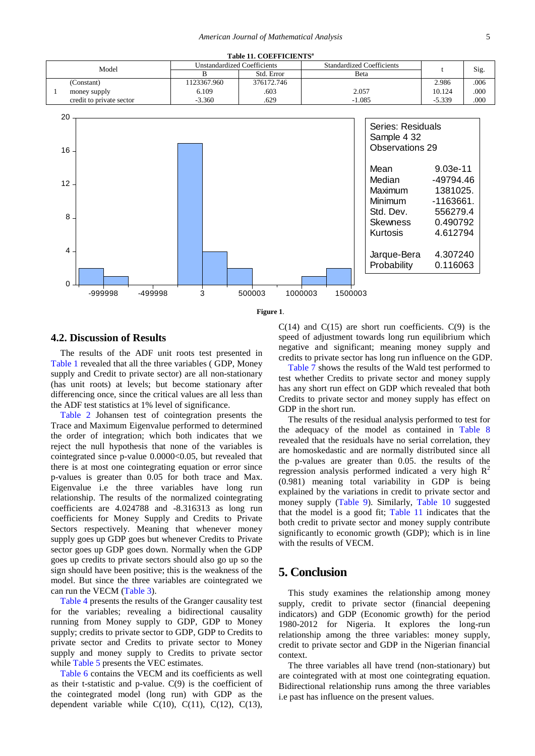<span id="page-4-0"></span>

|       |                          |                                    | Table 11. COEFFICIENTS <sup>a</sup> |                                  |          |      |
|-------|--------------------------|------------------------------------|-------------------------------------|----------------------------------|----------|------|
| Model |                          | <b>Unstandardized Coefficients</b> |                                     | <b>Standardized Coefficients</b> |          |      |
|       |                          |                                    | Std. Error                          | Beta                             |          | Sig. |
|       | (Constant)               | 1123367.960                        | 376172.746                          |                                  | 2.986    | .006 |
|       | money supply             | 6.109                              | .603                                | 2.057                            | 10.124   | .000 |
|       | credit to private sector | $-3.360$                           | .629                                | $-1.085$                         | $-5.339$ | .000 |
|       |                          |                                    |                                     |                                  |          |      |
|       | 20                       |                                    |                                     |                                  |          |      |



**Figure 1**.

#### **4.2. Discussion of Results**

The results of the ADF unit roots test presented in [Table 1](#page-2-0) revealed that all the three variables ( GDP, Money supply and Credit to private sector) are all non-stationary (has unit roots) at levels; but become stationary after differencing once, since the critical values are all less than the ADF test statistics at 1% level of significance.

[Table 2](#page-2-1) Johansen test of cointegration presents the Trace and Maximum Eigenvalue performed to determined the order of integration; which both indicates that we reject the null hypothesis that none of the variables is cointegrated since p-value 0.0000<0.05, but revealed that there is at most one cointegrating equation or error since p-values is greater than 0.05 for both trace and Max. Eigenvalue i.e the three variables have long run relationship. The results of the normalized cointegrating coefficients are 4.024788 and -8.316313 as long run coefficients for Money Supply and Credits to Private Sectors respectively. Meaning that whenever money supply goes up GDP goes but whenever Credits to Private sector goes up GDP goes down. Normally when the GDP goes up credits to private sectors should also go up so the sign should have been positive; this is the weakness of the model. But since the three variables are cointegrated we can run the VECM [\(Table 3\)](#page-2-2).

[Table 4](#page-3-0) presents the results of the Granger causality test for the variables; revealing a bidirectional causality running from Money supply to GDP, GDP to Money supply; credits to private sector to GDP, GDP to Credits to private sector and Credits to private sector to Money supply and money supply to Credits to private sector while [Table 5](#page-3-1) presents the VEC estimates.

[Table 6](#page-3-2) contains the VECM and its coefficients as well as their t-statistic and p-value. C(9) is the coefficient of the cointegrated model (long run) with GDP as the dependent variable while  $C(10)$ ,  $C(11)$ ,  $C(12)$ ,  $C(13)$ ,  $C(14)$  and  $C(15)$  are short run coefficients.  $C(9)$  is the speed of adjustment towards long run equilibrium which negative and significant; meaning money supply and credits to private sector has long run influence on the GDP.

[Table 7](#page-3-3) shows the results of the Wald test performed to test whether Credits to private sector and money supply has any short run effect on GDP which revealed that both Credits to private sector and money supply has effect on GDP in the short run.

The results of the residual analysis performed to test for the adequacy of the model as contained in [Table 8](#page-3-4) revealed that the residuals have no serial correlation, they are homoskedastic and are normally distributed since all the p-values are greater than 0.05. the results of the regression analysis performed indicated a very high  $R^2$ (0.981) meaning total variability in GDP is being explained by the variations in credit to private sector and money supply [\(Table 9\)](#page-3-5). Similarly, [Table 10](#page-3-6) suggested that the model is a good fit; [Table 11](#page-4-0) indicates that the both credit to private sector and money supply contribute significantly to economic growth (GDP); which is in line with the results of VECM.

## **5. Conclusion**

This study examines the relationship among money supply, credit to private sector (financial deepening indicators) and GDP (Economic growth) for the period 1980-2012 for Nigeria. It explores the long-run relationship among the three variables: money supply, credit to private sector and GDP in the Nigerian financial context.

The three variables all have trend (non-stationary) but are cointegrated with at most one cointegrating equation. Bidirectional relationship runs among the three variables i.e past has influence on the present values.